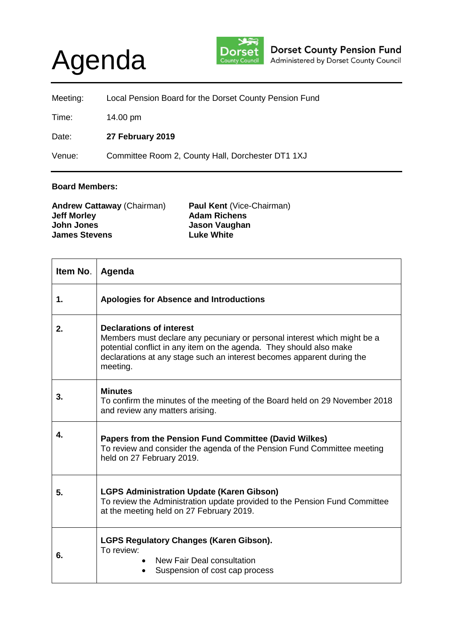## Agenda



| Meeting: | Local Pension Board for the Dorset County Pension Fund |
|----------|--------------------------------------------------------|
| Time:    | 14.00 pm                                               |
| Date:    | 27 February 2019                                       |
| Venue:   | Committee Room 2, County Hall, Dorchester DT1 1XJ      |

## **Board Members:**

| <b>Andrew Cattaway (Chairman)</b><br><b>Jeff Morley</b> | <b>Paul Kent (Vice-Chairman)</b><br><b>Adam Richens</b> |
|---------------------------------------------------------|---------------------------------------------------------|
| John Jones                                              | Jason Vaughan                                           |
| <b>James Stevens</b>                                    | <b>Luke White</b>                                       |

| Item No. | Agenda                                                                                                                                                                                                                                                                   |
|----------|--------------------------------------------------------------------------------------------------------------------------------------------------------------------------------------------------------------------------------------------------------------------------|
| 1.       | Apologies for Absence and Introductions                                                                                                                                                                                                                                  |
| 2.       | <b>Declarations of interest</b><br>Members must declare any pecuniary or personal interest which might be a<br>potential conflict in any item on the agenda. They should also make<br>declarations at any stage such an interest becomes apparent during the<br>meeting. |
| 3.       | <b>Minutes</b><br>To confirm the minutes of the meeting of the Board held on 29 November 2018<br>and review any matters arising.                                                                                                                                         |
| 4.       | Papers from the Pension Fund Committee (David Wilkes)<br>To review and consider the agenda of the Pension Fund Committee meeting<br>held on 27 February 2019.                                                                                                            |
| 5.       | <b>LGPS Administration Update (Karen Gibson)</b><br>To review the Administration update provided to the Pension Fund Committee<br>at the meeting held on 27 February 2019.                                                                                               |
| 6.       | <b>LGPS Regulatory Changes (Karen Gibson).</b><br>To review:<br>New Fair Deal consultation<br>Suspension of cost cap process                                                                                                                                             |